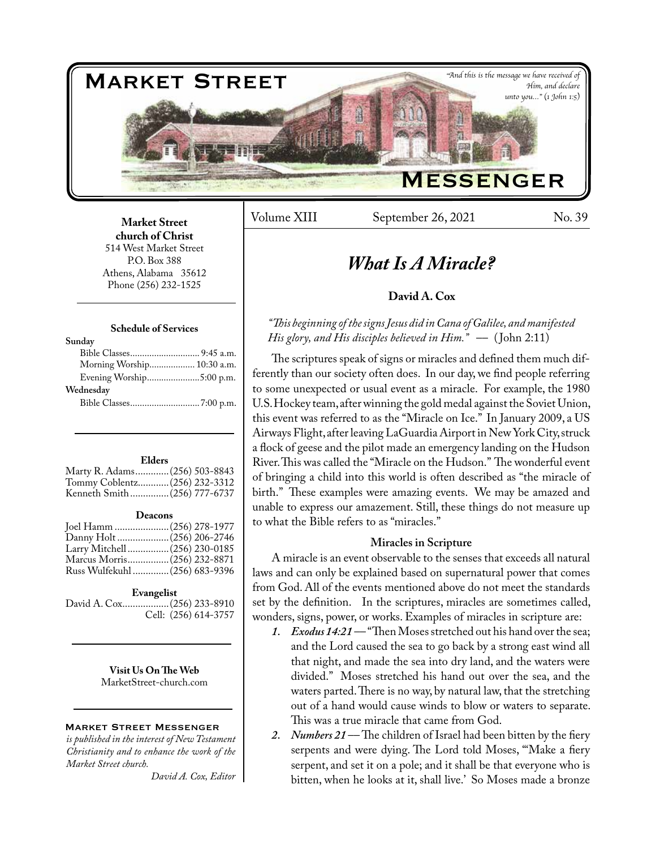

Volume XIII September 26, 2021 No. 39

## **Market Street church of Christ**  514 West Market Street P.O. Box 388 Athens, Alabama 35612 Phone (256) 232-1525

## **Schedule of Services**

| Sunday                     |  |
|----------------------------|--|
|                            |  |
| Morning Worship 10:30 a.m. |  |
| Evening Worship5:00 p.m.   |  |
| Wednesday                  |  |
|                            |  |
|                            |  |

#### **Elders**

| Marty R. Adams (256) 503-8843 |  |
|-------------------------------|--|
| Tommy Coblentz (256) 232-3312 |  |
| Kenneth Smith(256) 777-6737   |  |

#### **Deacons**

| Joel Hamm  (256) 278-1977      |  |
|--------------------------------|--|
|                                |  |
| Larry Mitchell  (256) 230-0185 |  |
| Marcus Morris (256) 232-8871   |  |
| Russ Wulfekuhl  (256) 683-9396 |  |
|                                |  |

## **Evangelist**

David A. Cox..................(256) 233-8910 Cell: (256) 614-3757

> **Visit Us On The Web** MarketStreet-church.com

## Market Street Messenger

*is published in the interest of New Testament Christianity and to enhance the work of the Market Street church.*

*David A. Cox, Editor*

# *What Is A Miracle?*

# **David A. Cox**

# *"This beginning of the signs Jesus did in Cana of Galilee, and manifested His glory, and His disciples believed in Him.*" — (John 2:11)

The scriptures speak of signs or miracles and defined them much differently than our society often does. In our day, we find people referring to some unexpected or usual event as a miracle. For example, the 1980 U.S. Hockey team, after winning the gold medal against the Soviet Union, this event was referred to as the "Miracle on Ice." In January 2009, a US Airways Flight, after leaving LaGuardia Airport in New York City, struck a flock of geese and the pilot made an emergency landing on the Hudson River. This was called the "Miracle on the Hudson." The wonderful event of bringing a child into this world is often described as "the miracle of birth." These examples were amazing events. We may be amazed and unable to express our amazement. Still, these things do not measure up to what the Bible refers to as "miracles."

# **Miracles in Scripture**

A miracle is an event observable to the senses that exceeds all natural laws and can only be explained based on supernatural power that comes from God. All of the events mentioned above do not meet the standards set by the definition. In the scriptures, miracles are sometimes called, wonders, signs, power, or works. Examples of miracles in scripture are:

- *1. Exodus 14:21* –– "Then Moses stretched out his hand over the sea; and the Lord caused the sea to go back by a strong east wind all that night, and made the sea into dry land, and the waters were divided." Moses stretched his hand out over the sea, and the waters parted. There is no way, by natural law, that the stretching out of a hand would cause winds to blow or waters to separate. This was a true miracle that came from God.
- 2. *Numbers 21* The children of Israel had been bitten by the fiery serpents and were dying. The Lord told Moses, "'Make a fiery serpent, and set it on a pole; and it shall be that everyone who is bitten, when he looks at it, shall live.' So Moses made a bronze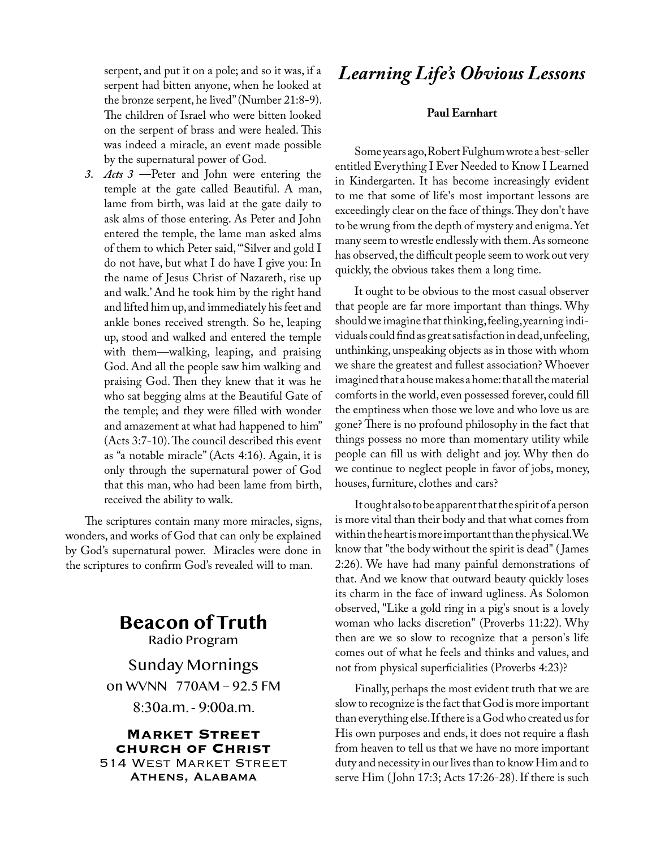serpent, and put it on a pole; and so it was, if a serpent had bitten anyone, when he looked at the bronze serpent, he lived" (Number 21:8-9). The children of Israel who were bitten looked on the serpent of brass and were healed. This was indeed a miracle, an event made possible by the supernatural power of God.

*3. Acts 3* ––Peter and John were entering the temple at the gate called Beautiful. A man, lame from birth, was laid at the gate daily to ask alms of those entering. As Peter and John entered the temple, the lame man asked alms of them to which Peter said, "'Silver and gold I do not have, but what I do have I give you: In the name of Jesus Christ of Nazareth, rise up and walk.' And he took him by the right hand and lifted him up, and immediately his feet and ankle bones received strength. So he, leaping up, stood and walked and entered the temple with them—walking, leaping, and praising God. And all the people saw him walking and praising God. Then they knew that it was he who sat begging alms at the Beautiful Gate of the temple; and they were filled with wonder and amazement at what had happened to him" (Acts 3:7-10). The council described this event as "a notable miracle" (Acts 4:16). Again, it is only through the supernatural power of God that this man, who had been lame from birth, received the ability to walk.

The scriptures contain many more miracles, signs, wonders, and works of God that can only be explained by God's supernatural power. Miracles were done in the scriptures to confirm God's revealed will to man.

# **Beacon of Truth** Radio Program

Sunday Mornings

on WVNN 770AM – 92.5 FM

8:30a.m. - 9:00a.m.

**Market Street church of Christ** 514 West Market Street Athens, Alabama

# *Learning Life's Obvious Lessons*

# **Paul Earnhart**

Some years ago, Robert Fulghum wrote a best-seller entitled Everything I Ever Needed to Know I Learned in Kindergarten. It has become increasingly evident to me that some of life's most important lessons are exceedingly clear on the face of things. They don't have to be wrung from the depth of mystery and enigma. Yet many seem to wrestle endlessly with them. As someone has observed, the difficult people seem to work out very quickly, the obvious takes them a long time.

It ought to be obvious to the most casual observer that people are far more important than things. Why should we imagine that thinking, feeling, yearning individuals could find as great satisfaction in dead, unfeeling, unthinking, unspeaking objects as in those with whom we share the greatest and fullest association? Whoever imagined that a house makes a home: that all the material comforts in the world, even possessed forever, could fill the emptiness when those we love and who love us are gone? There is no profound philosophy in the fact that things possess no more than momentary utility while people can fill us with delight and joy. Why then do we continue to neglect people in favor of jobs, money, houses, furniture, clothes and cars?

It ought also to be apparent that the spirit of a person is more vital than their body and that what comes from within the heart is more important than the physical. We know that "the body without the spirit is dead" ( James 2:26). We have had many painful demonstrations of that. And we know that outward beauty quickly loses its charm in the face of inward ugliness. As Solomon observed, "Like a gold ring in a pig's snout is a lovely woman who lacks discretion" (Proverbs 11:22). Why then are we so slow to recognize that a person's life comes out of what he feels and thinks and values, and not from physical superficialities (Proverbs 4:23)?

Finally, perhaps the most evident truth that we are slow to recognize is the fact that God is more important than everything else. If there is a God who created us for His own purposes and ends, it does not require a flash from heaven to tell us that we have no more important duty and necessity in our lives than to know Him and to serve Him (John 17:3; Acts 17:26-28). If there is such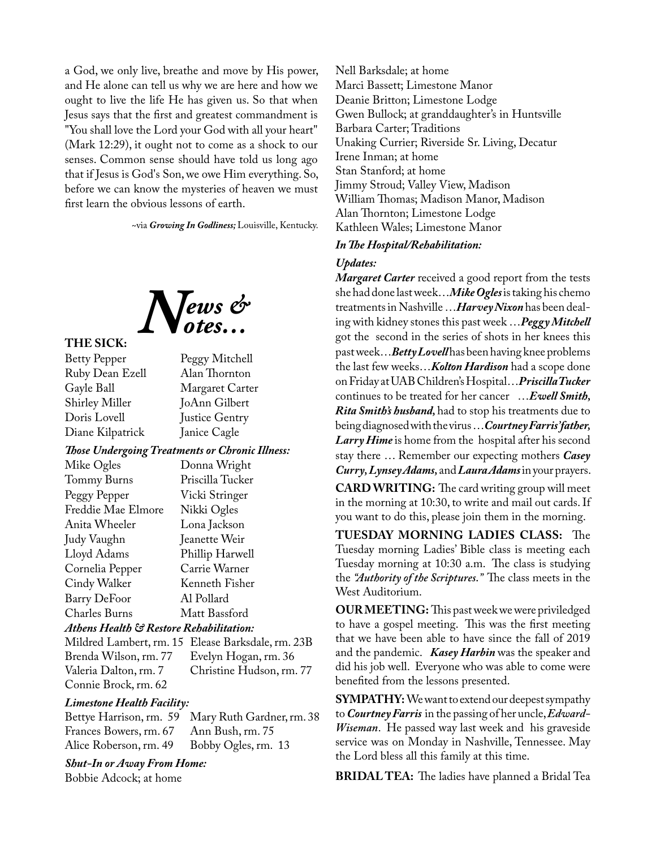a God, we only live, breathe and move by His power, and He alone can tell us why we are here and how we ought to live the life He has given us. So that when Jesus says that the first and greatest commandment is "You shall love the Lord your God with all your heart" (Mark 12:29), it ought not to come as a shock to our senses. Common sense should have told us long ago that if Jesus is God's Son, we owe Him everything. So, before we can know the mysteries of heaven we must first learn the obvious lessons of earth.

~via *Growing In Godliness;* Louisville, Kentucky.



## **THE SICK:**

Betty Pepper Peggy Mitchell Ruby Dean Ezell Alan Thornton Margaret Carter Shirley Miller JoAnn Gilbert Doris Lovell Justice Gentry Diane Kilpatrick Janice Cagle *Those Undergoing Treatments or Chronic Illness:* Mike Ogles Donna Wright

| Mike Ogles          | Donna Wright     |
|---------------------|------------------|
| Tommy Burns         | Priscilla Tucker |
| Peggy Pepper        | Vicki Stringer   |
| Freddie Mae Elmore  | Nikki Ogles      |
| Anita Wheeler       | Lona Jackson     |
| Judy Vaughn         | Jeanette Weir    |
| Lloyd Adams         | Phillip Harwell  |
| Cornelia Pepper     | Carrie Warner    |
| Cindy Walker        | Kenneth Fisher   |
| <b>Barry DeFoor</b> | Al Pollard       |
| Charles Burns       | Matt Bassford    |
|                     |                  |

# *Athens Health & Restore Rehabilitation:*

Mildred Lambert, rm. 15 Elease Barksdale, rm. 23B Brenda Wilson, rm. 77 Evelyn Hogan, rm. 36 Christine Hudson, rm. 77 Connie Brock, rm. 62

# *Limestone Health Facility:*

Bettye Harrison, rm. 59 Mary Ruth Gardner, rm. 38 Frances Bowers, rm. 67 Alice Roberson, rm. 49 Bobby Ogles, rm. 13

*Shut-In or Away From Home:*

Bobbie Adcock; at home

Nell Barksdale; at home Marci Bassett; Limestone Manor Deanie Britton; Limestone Lodge Gwen Bullock; at granddaughter's in Huntsville Barbara Carter; Traditions Unaking Currier; Riverside Sr. Living, Decatur Irene Inman; at home Stan Stanford; at home Jimmy Stroud; Valley View, Madison William Thomas; Madison Manor, Madison Alan Thornton; Limestone Lodge Kathleen Wales; Limestone Manor

# *In The Hospital/Rehabilitation:*

# *Updates:*

*Margaret Carter* received a good report from the tests she had done last week…*Mike Ogles* is taking his chemo treatments in Nashville …*Harvey Nixon* has been dealing with kidney stones this past week …*Peggy Mitchell*  got the second in the series of shots in her knees this past week…*Betty Lovell* has been having knee problems the last few weeks…*Kolton Hardison* had a scope done on Friday at UAB Children's Hospital…*Priscilla Tucker*  continues to be treated for her cancer …*Ewell Smith, Rita Smith's husband,* had to stop his treatments due to being diagnosed with the virus …*Courtney Farris' father, Larry Hime* is home from the hospital after his second stay there … Remember our expecting mothers *Casey Curry,Lynsey Adams,* and *Laura Adams* in your prayers.

**CARD WRITING:** The card writing group will meet in the morning at 10:30, to write and mail out cards. If you want to do this, please join them in the morning.

**TUESDAY MORNING LADIES CLASS:** The Tuesday morning Ladies' Bible class is meeting each Tuesday morning at 10:30 a.m. The class is studying the *"Authority of the Scriptures."* The class meets in the West Auditorium.

**OUR MEETING:** This past week we were priviledged to have a gospel meeting. This was the first meeting that we have been able to have since the fall of 2019 and the pandemic. *Kasey Harbin* was the speaker and did his job well. Everyone who was able to come were benefited from the lessons presented.

**SYMPATHY:** We want to extend our deepest sympathy to *Courtney Farris* in the passing of her uncle, *Edward-Wiseman*. He passed way last week and his graveside service was on Monday in Nashville, Tennessee. May the Lord bless all this family at this time.

**BRIDAL TEA:** The ladies have planned a Bridal Tea